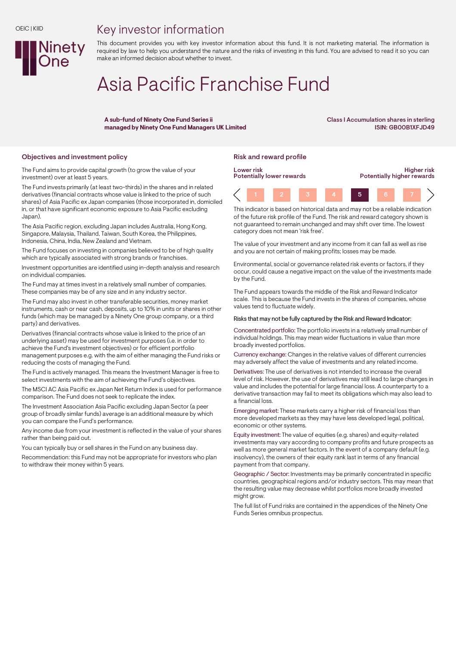## Key investor information



# Asia Pacific Franchise Fund

A sub-fund of Ninety One Fund Series ii managed by Ninety One Fund Managers UK Limited Class I Accumulation shares in sterling ISIN: GB00B1XFJD49

## Objectives and investment policy **Risk and reward profile** Risk and reward profile

Ninety

The Fund aims to provide capital growth (to grow the value of your investment) over at least 5 years.

The Fund invests primarily (at least two-thirds) in the shares and in related derivatives (financial contracts whose value is linked to the price of such shares) of Asia Pacific ex Japan companies (those incorporated in, domiciled in, or that have significant economic exposure to Asia Pacific excluding Japan).

The Asia Pacific region, excluding Japan includes Australia, Hong Kong, Singapore, Malaysia, Thailand, Taiwan, South Korea, the Philippines, Indonesia, China, India, New Zealand and Vietnam.

The Fund focuses on investing in companies believed to be of high quality which are typically associated with strong brands or franchises.

Investment opportunities are identified using in-depth analysis and research on individual companies.

The Fund may at times invest in a relatively small number of companies. These companies may be of any size and in any industry sector.

The Fund may also invest in other transferable securities, money market instruments, cash or near cash, deposits, up to 10% in units or shares in other funds (which may be managed by a Ninety One group company, or a third party) and derivatives.

Derivatives (financial contracts whose value is linked to the price of an underlying asset) may be used for investment purposes (i.e. in order to achieve the Fund's investment objectives) or for efficient portfolio management purposes e.g. with the aim of either managing the Fund risks or reducing the costs of managing the Fund.

The Fund is actively managed. This means the Investment Manager is free to select investments with the aim of achieving the Fund's objectives.

The MSCI AC Asia Pacific ex Japan Net Return Index is used for performance comparison. The Fund does not seek to replicate the index.

The Investment Association Asia Pacific excluding Japan Sector (a peer group of broadly similar funds) average is an additional measure by which you can compare the Fund's performance.

Any income due from your investment is reflected in the value of your shares rather than being paid out.

You can typically buy or sell shares in the Fund on any business day.

Recommendation: this Fund may not be appropriate for investors who plan to withdraw their money within 5 years.



This indicator is based on historical data and may not be a reliable indication of the future risk profile of the Fund. The risk and reward category shown is not guaranteed to remain unchanged and may shift over time. The lowest category does not mean 'risk free'.

The value of your investment and any income from it can fall as well as rise and you are not certain of making profits; losses may be made.

Environmental, social or governance related risk events or factors, if they occur, could cause a negative impact on the value of the investments made by the Fund.

The Fund appears towards the middle of the Risk and Reward Indicator scale. This is because the Fund invests in the shares of companies, whose values tend to fluctuate widely.

#### Risks that may not be fully captured by the Risk and Reward Indicator:

Concentrated portfolio: The portfolio invests in a relatively small number of individual holdings. This may mean wider fluctuations in value than more broadly invested portfolios.

Currency exchange: Changes in the relative values of different currencies may adversely affect the value of investments and any related income.

Derivatives: The use of derivatives is not intended to increase the overall level of risk. However, the use of derivatives may still lead to large changes in value and includes the potential for large financial loss. A counterparty to a derivative transaction may fail to meet its obligations which may also lead to a financial loss.

Emerging market: These markets carry a higher risk of financial loss than more developed markets as they may have less developed legal, political, economic or other systems.

Equity investment: The value of equities (e.g. shares) and equity-related investments may vary according to company profits and future prospects as well as more general market factors. In the event of a company default (e.g. insolvency), the owners of their equity rank last in terms of any financial payment from that company.

Geographic / Sector: Investments may be primarily concentrated in specific countries, geographical regions and/or industry sectors. This may mean that the resulting value may decrease whilst portfolios more broadly invested might grow.

The full list of Fund risks are contained in the appendices of the Ninety One Funds Series omnibus prospectus.